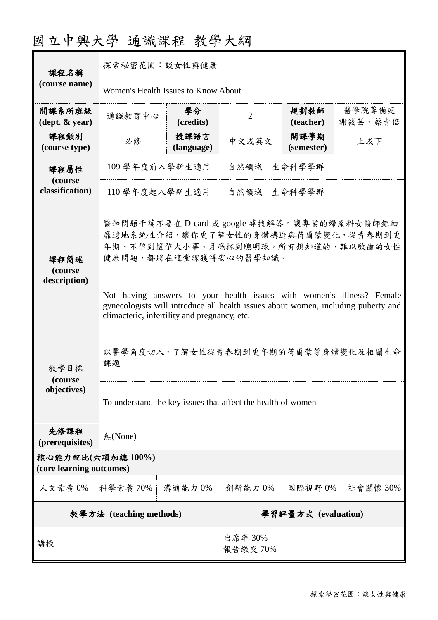| 國立中興大學 通識課程 教學大綱 |  |  |
|------------------|--|--|
|------------------|--|--|

| 課程名稱                                                                                                                                                                |                                                                                                                                                                                                            | 探索秘密花園:談女性與健康      |                     |                     |                   |
|---------------------------------------------------------------------------------------------------------------------------------------------------------------------|------------------------------------------------------------------------------------------------------------------------------------------------------------------------------------------------------------|--------------------|---------------------|---------------------|-------------------|
| (course name)                                                                                                                                                       | Women's Health Issues to Know About                                                                                                                                                                        |                    |                     |                     |                   |
| 開課系所班級<br>$(\text{dept. } \& \text{ year})$                                                                                                                         | 通識教育中心                                                                                                                                                                                                     | 學分<br>(credits)    | $\overline{2}$      | 規劃教師<br>(teacher)   | 醫學院籌備處<br>謝筱芸、蔡青倍 |
| 課程類別<br>(course type)                                                                                                                                               | 必修                                                                                                                                                                                                         | 授課語言<br>(language) | 中文或英文               | 開課學期<br>(semester)  | 上或下               |
| 課程屬性                                                                                                                                                                | 109 學年度前入學新生適用<br>自然領域-生命科學學群<br>110 學年度起入學新生適用<br>自然領域-生命科學學群                                                                                                                                             |                    |                     |                     |                   |
| (course<br>classification)                                                                                                                                          |                                                                                                                                                                                                            |                    |                     |                     |                   |
| 醫學問題千萬不要在 D-card 或 google 尋找解答。讓專業的婦產科女醫師鉅細<br>靡遺地系統性介紹,讓你更了解女性的身體構造與荷爾蒙變化,從青春期到更<br>年期、不孕到懷孕大小事、月亮杯到聰明球,所有想知道的、難以啟齒的女性<br>健康問題,都將在這堂課獲得安心的醫學知識。<br>課程簡述<br>(course |                                                                                                                                                                                                            |                    |                     |                     |                   |
| description)                                                                                                                                                        | Not having answers to your health issues with women's illness? Female<br>gynecologists will introduce all health issues about women, including puberty and<br>climacteric, infertility and pregnancy, etc. |                    |                     |                     |                   |
| 教學目標<br>(course                                                                                                                                                     | 以醫學角度切入,了解女性從青春期到更年期的荷爾蒙等身體變化及相關生命<br>課題                                                                                                                                                                   |                    |                     |                     |                   |
| objectives)                                                                                                                                                         | To understand the key issues that affect the health of women                                                                                                                                               |                    |                     |                     |                   |
| 先修課程<br>(prerequisites)                                                                                                                                             | 無(None)                                                                                                                                                                                                    |                    |                     |                     |                   |
| 核心能力配比(六項加總 100%)<br>(core learning outcomes)                                                                                                                       |                                                                                                                                                                                                            |                    |                     |                     |                   |
| 人文素養 0%   科學素養 70%                                                                                                                                                  |                                                                                                                                                                                                            | 溝通能力 0%            | 創新能力0%              | 國際視野0%              | 社會關懷 30%          |
|                                                                                                                                                                     | 教學方法 (teaching methods)                                                                                                                                                                                    |                    |                     | 學習評量方式 (evaluation) |                   |
| 講授                                                                                                                                                                  |                                                                                                                                                                                                            |                    | 出席率 30%<br>報告繳交 70% |                     |                   |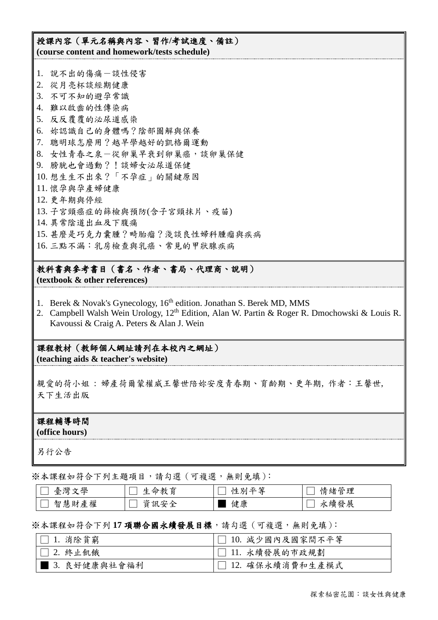授課內容(單元名稱與內容、習作**/**考試進度、備註) **(course content and homework/tests schedule)**

1. 說不出的傷痛-談性侵害 2. 從月亮杯談經期健康 3. 不可不知的避孕常識 4. 難以啟齒的性傳染病 5. 反反覆覆的泌尿道感染 6. 妳認識自己的身體嗎?陰部圖解與保養 7. 聰明球怎麼用?越早學越好的凱格爾運動 8. 女性青春之泉-從卵巢早衰到卵巢癌,談卵巢保健 9. 膀胱也會過動?!談婦女泌尿道保健 10. 想生生不出來?「不孕症」的關鍵原因 11. 懷孕與孕產婦健康 12. 更年期與停經 13. 子宮頸癌症的篩檢與預防(含子宮頸抹片、疫苗) 14. 異常陰道出血及下腹痛 15. 甚麼是巧克力囊腫?畸胎瘤?淺談良性婦科腫瘤與疾病 16. 三點不漏:乳房檢查與乳癌、常見的甲狀腺疾病

教科書與參考書目(書名、作者、書局、代理商、說明) **(textbook & other references)**

- 1. Berek & Novak's Gynecology, 16<sup>th</sup> edition. Jonathan S. Berek MD, MMS
- 2. Campbell Walsh Wein Urology, 12<sup>th</sup> Edition, Alan W. Partin & Roger R. Dmochowski & Louis R. Kavoussi & Craig A. Peters & Alan J. Wein

課程教材(教師個人網址請列在本校內之網址) **(teaching aids & teacher's website)**

親愛的荷小姐: 婦產荷爾蒙權威王馨世陪妳安度青春期、育齡期、更年期, 作者:王馨世, 天下生活出版

## 課程輔導時間

**(office hours)**

另行公告

※本課程如符合下列主題項目,請勾選(可複選,無則免填):

| 學<br>臺灣<br>$\tau$     | .命教育<br>七                   | 、全<br>平<br>杜<br>ЖIJ | 情緒管理 |
|-----------------------|-----------------------------|---------------------|------|
| 權<br>慧<br>智<br>財<br>産 | 字全<br>貣<br>〝訊殳<br><b>__</b> | 健康                  | 永續發展 |

## ※本課程如符合下列 **17** 項聯合國永續發展目標,請勾選(可複選,無則免填):

| $\Box$ 1. 消除貧窮 | □ 10. 減少國內及國家間不平等 |
|----------------|-------------------|
| □ 2. 終止飢餓      | □ 11. 永續發展的市政規劃   |
| ▌ 3.良好健康與社會福利  | □ 12. 確保永續消費和生產模式 |